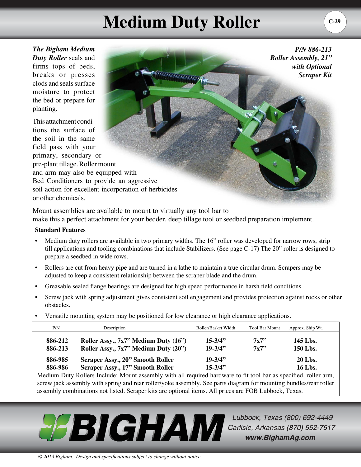## **Medium Duty Roller**  $\begin{bmatrix} 0.29 \end{bmatrix}$

a a da da da da da da gama da gama da gama da gama da gama da gama da gama da gama da gama da gama da gama da

*The Bigham Medium Duty Roller* seals and firms tops of beds, breaks or presses clods and seals surface moisture to protect the bed or prepare for planting.

This attachment conditions the surface of the soil in the same field pass with your primary, secondary or pre-plant tillage.Roller mount and arm may also be equipped with Bed Conditioners to provide an aggressive soil action for excellent incorporation of herbicides or other chemicals.

Mount assemblies are available to mount to virtually any tool bar to make this a perfect attachment for your bedder, deep tillage tool or seedbed preparation implement.

## **Standard Features**

- Medium duty rollers are available in two primary widths. The 16" roller was developed for narrow rows, strip till applications and tooling combinations that include Stabilizers. (See page C-17) The 20" roller is designed to prepare a seedbed in wide rows.
- Rollers are cut from heavy pipe and are turned in a lathe to maintain a true circular drum. Scrapers may be adjusted to keep a consistent relationship between the scraper blade and the drum.
- Greasable sealed flange bearings are designed for high speed performance in harsh field conditions.
- Screw jack with spring adjustment gives consistent soil engagement and provides protection against rocks or other obstacles.
- Versatile mounting system may be positioned for low clearance or high clearance applications.

| P/N     | Description                             | Roller/Basket Width | <b>Tool Bar Mount</b> | Approx. Ship Wt. |
|---------|-----------------------------------------|---------------------|-----------------------|------------------|
| 886-212 | Roller Assy., 7x7" Medium Duty (16")    | $15 - 3/4$ "        | 7x7                   | 145 Lbs.         |
| 886-213 | Roller Assy., 7x7" Medium Duty (20")    | $19 - 3/4"$         | 7x7"                  | 150 Lbs.         |
| 886-985 | <b>Scraper Assy., 20" Smooth Roller</b> | $19 - 3/4"$         |                       | 20 Lbs.          |
| 886-986 | <b>Scraper Assy., 17" Smooth Roller</b> | $15 - 3/4$ "        |                       | 16 Lbs.          |

Medium Duty Rollers Include: Mount assembly with all required hardware to fit tool bar as specified, roller arm, screw jack assembly with spring and rear roller/yoke assembly. See parts diagram for mounting bundles/rear roller assembly combinations not listed. Scraper kits are optional items. All prices are FOB Lubbock, Texas.



Lubbock, Texas (800) 692-4449 Carlisle, Arkansas (870) 552-7517 www.BighamAg.com

*P/N 886-213* 

*with Optional Scraper Kit*

*Roller Assembly, 21"*